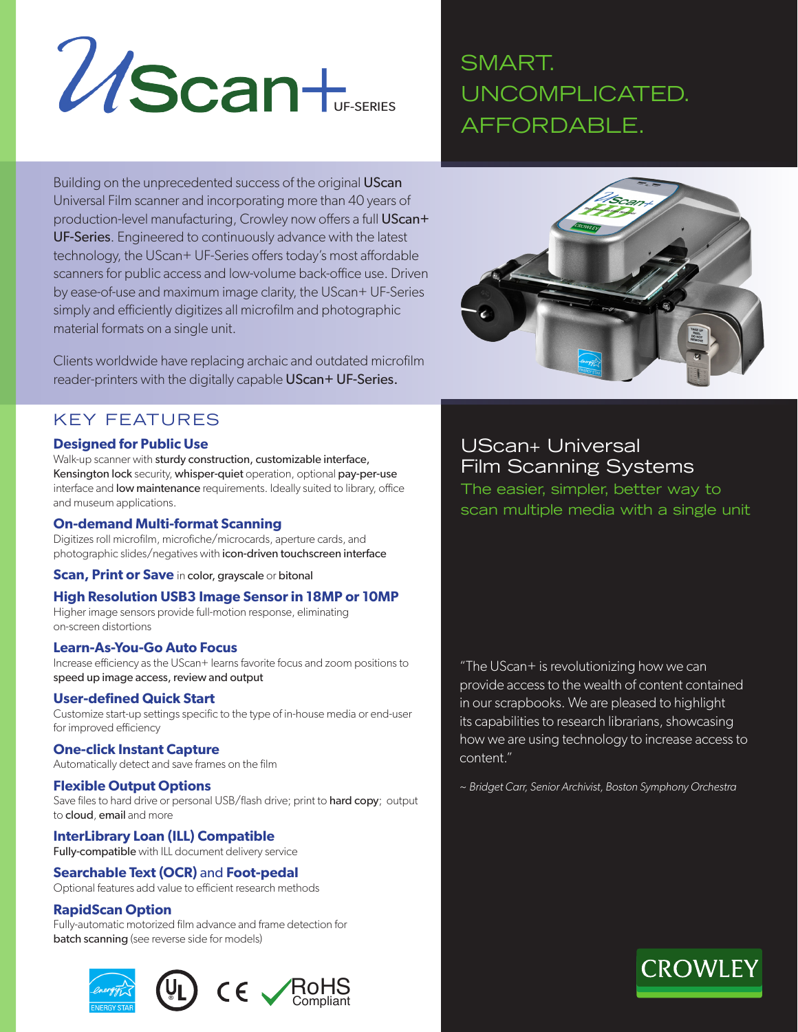

# SMART. UNCOMPLICATED. AFFORDABLE.

Building on the unprecedented success of the original UScan Universal Film scanner and incorporating more than 40 years of production-level manufacturing, Crowley now offers a full UScan+ UF-Series. Engineered to continuously advance with the latest technology, the UScan+ UF-Series offers today's most affordable scanners for public access and low-volume back-office use. Driven by ease-of-use and maximum image clarity, the UScan+ UF-Series simply and efficiently digitizes all microfilm and photographic material formats on a single unit.

Clients worldwide have replacing archaic and outdated microfilm reader-printers with the digitally capable UScan+ UF-Series.

### KEY FEATURES

#### **Designed for Public Use**

Walk-up scanner with sturdy construction, customizable interface, Kensington lock security, whisper-quiet operation, optional pay-per-use interface and **low maintenance** requirements. Ideally suited to library, office and museum applications.

#### **On-demand Multi-format Scanning**

Digitizes roll microfilm, microfiche/microcards, aperture cards, and photographic slides/negatives with icon-driven touchscreen interface

**Scan, Print or Save** in color, grayscale or bitonal

#### **High Resolution USB3 Image Sensor in 18MP or 10MP**

Higher image sensors provide full-motion response, eliminating on-screen distortions

#### **Learn-As-You-Go Auto Focus**

Increase efficiency as the UScan+ learns favorite focus and zoom positions to speed up image access, review and output

#### **User-defined Quick Start**

Customize start-up settings specific to the type of in-house media or end-user for improved efficiency

#### **One-click Instant Capture**

Automatically detect and save frames on the film

#### **Flexible Output Options**

Save files to hard drive or personal USB/flash drive; print to hard copy; output to cloud, email and more

#### **InterLibrary Loan (ILL) Compatible**

Fully-compatible with ILL document delivery service

#### **Searchable Text (OCR)** and **Foot-pedal**

Optional features add value to efficient research methods

#### **RapidScan Option**

Fully-automatic motorized film advance and frame detection for batch scanning (see reverse side for models)





### UScan+ Universal Film Scanning Systems

The easier, simpler, better way to scan multiple media with a single unit

"The UScan+ is revolutionizing how we can provide access to the wealth of content contained in our scrapbooks. We are pleased to highlight its capabilities to research librarians, showcasing how we are using technology to increase access to content."

*~ Bridget Carr, Senior Archivist, Boston Symphony Orchestra*